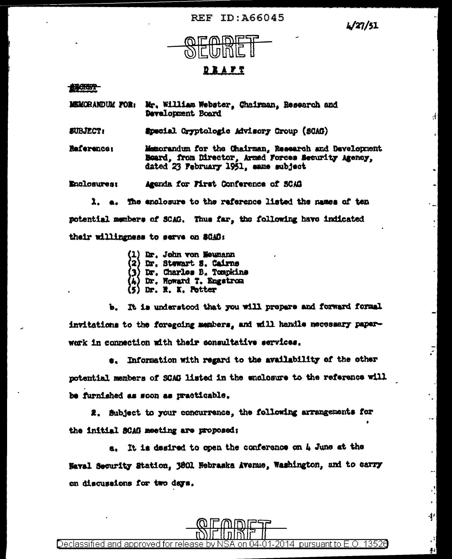**REF ID: A66045** 

L/27/51

 $\dot{\xi}$ 

Ŧ



## <u> D B A P T</u>

100057

**MEMORANDUM FOR:** Mr. William Webster, Chairman, Research and Development Board

**SUBJECT:** Special Gryptologic Advisory Croup (SCAG)

Reference: Memorandum for the Chairman, Research and Development Board, from Director, Armed Forces Security Agency, dated 23 February 1951, same subject

**Enclosures:** Agenda for First Conference of SCAG

1. a. The enclosure to the reference listed the mames of ten potential members of SCAG. Thus far, the following have indicated their willingness to serve on SCAG:

- (1) Dr. John von Neumann
- (2) Dr. Stewart S. Cairns
- (3) Dr. Charles B. Tompkins
- Dr. Howard T. Engstrom
- Dr. R. K. Potter

b. It is understood that you will prepare and forward formal invitations to the foregoing members, and will handle necessary paperwork in connection with their consultative services.

s. Information with regard to the availability of the other potential members of SCAG listed in the enclosure to the reference will be furnished as soon as practicable.

2. Subject to your concurrence, the following arrangements for the initial SCAG meeting are proposed:

a. It is desired to open the conference on 4 June at the Naval Security Station, 3801 Nebraska Avenue, Washington, and to carry on discussions for two days.

on 04-01-2014 pursuant to E.O. 13526 <u>Declassified and approved for release by NSA</u>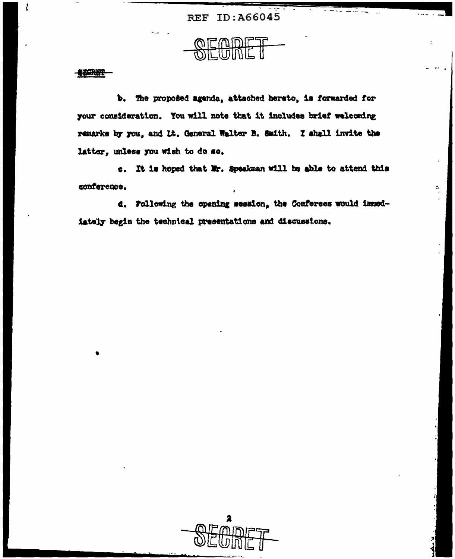**REF ID: A66045** 

 $\overline{z}$ 

÷,

**ANCRET** 

ł

b. The proposed agenda, attached hereto, is forwarded for your consideration. You will note that it includes brief welcoming remarks by you, and It. General Walter B. Smith, I shall invite the latter, unless you wish to do so.

c. It is hoped that Mr. Speakman will be able to attend this conference.

d. Following the opening session, the Conferees would immediately begin the technical presentations and discussions.

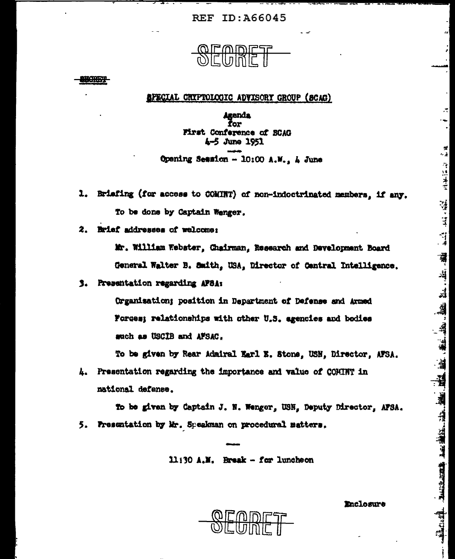**REF ID: A66045** 



4444

**APECIAL CRYPTOLOGIC ADVISORY GROUP (SCAG)** 

Agenda Žor First Conference of BCAG 4-5 June 1951 Opening Semsion - 10:00 A.M., A June

- 1. Brisfing (for access to COMINT) of non-indoctrinated members, if any. To be done by Captain Wenger.
- 2. Brief addresses of welcome:

Mr. William Webster, Chairman, Research and Development Board General Walter B. Smith, USA, Director of Central Intelligence.

3. Presentation regarding APSA:

Organisation; position in Department of Defense and Armed Forces; relationships with other U.S. agencies and bodies such as USCIB and AFSAC.

To be given by Rear Admiral Earl E. Stons, USN, Director, AFSA.

4. Presentation regarding the importance and value of COMINT in national defense.

To be given by Captain J. N. Wenger, USN. Deputy Director, AFSA. 5. Presentation by Mr. Speakman on procedural matters.

11:30 A.M. Break - for luncheon

Enclosure

 $\overline{\phantom{a}}$ 

歴保 (信託)基金

 $\ddot{ }$ 

"我的,"这样,"我的,""我的,""我们的,我们的,我们的,我们的,我们的,我们的,我们的,我们的。"我们的心理的,我们的心理的。"